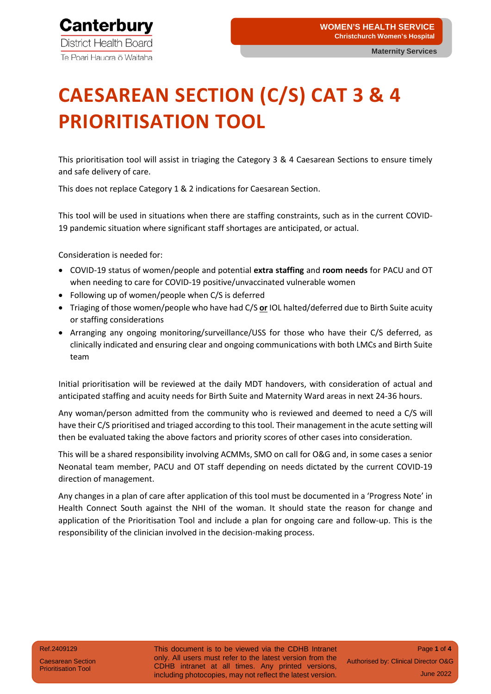**Maternity Services**

# **CAESAREAN SECTION (C/S) CAT 3 & 4 PRIORITISATION TOOL**

This prioritisation tool will assist in triaging the Category 3 & 4 Caesarean Sections to ensure timely and safe delivery of care.

This does not replace Category 1 & 2 indications for Caesarean Section.

This tool will be used in situations when there are staffing constraints, such as in the current COVID-19 pandemic situation where significant staff shortages are anticipated, or actual.

Consideration is needed for:

- COVID-19 status of women/people and potential **extra staffing** and **room needs** for PACU and OT when needing to care for COVID-19 positive/unvaccinated vulnerable women
- Following up of women/people when C/S is deferred
- Triaging of those women/people who have had C/S **or** IOL halted/deferred due to Birth Suite acuity or staffing considerations
- Arranging any ongoing monitoring/surveillance/USS for those who have their C/S deferred, as clinically indicated and ensuring clear and ongoing communications with both LMCs and Birth Suite team

Initial prioritisation will be reviewed at the daily MDT handovers, with consideration of actual and anticipated staffing and acuity needs for Birth Suite and Maternity Ward areas in next 24-36 hours.

Any woman/person admitted from the community who is reviewed and deemed to need a C/S will have their C/S prioritised and triaged according to this tool. Their management in the acute setting will then be evaluated taking the above factors and priority scores of other cases into consideration.

This will be a shared responsibility involving ACMMs, SMO on call for O&G and, in some cases a senior Neonatal team member, PACU and OT staff depending on needs dictated by the current COVID-19 direction of management.

Any changes in a plan of care after application of this tool must be documented in a 'Progress Note' in Health Connect South against the NHI of the woman. It should state the reason for change and application of the Prioritisation Tool and include a plan for ongoing care and follow-up. This is the responsibility of the clinician involved in the decision-making process.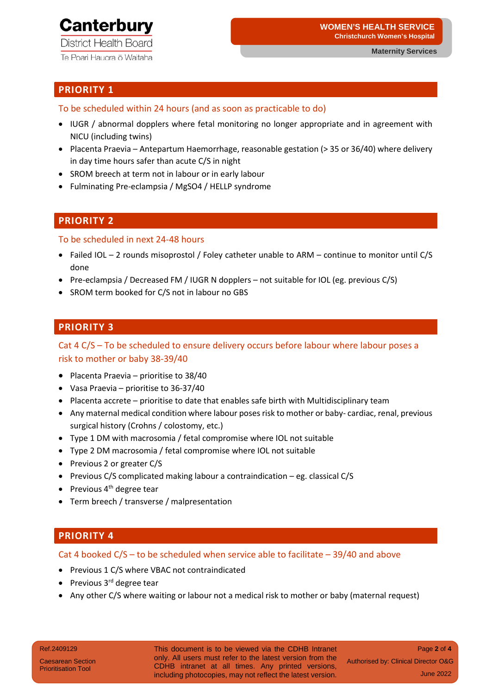## **Canterbury**

**District Health Board** Te Poari Hauora ō Waitaha

#### **PRIORITY 1**

To be scheduled within 24 hours (and as soon as practicable to do)

- IUGR / abnormal dopplers where fetal monitoring no longer appropriate and in agreement with NICU (including twins)
- Placenta Praevia Antepartum Haemorrhage, reasonable gestation (> 35 or 36/40) where delivery in day time hours safer than acute C/S in night
- SROM breech at term not in labour or in early labour
- Fulminating Pre-eclampsia / MgSO4 / HELLP syndrome

#### **PRIORITY 2**

To be scheduled in next 24-48 hours

- Failed IOL 2 rounds misoprostol / Foley catheter unable to ARM continue to monitor until C/S done
- Pre-eclampsia / Decreased FM / IUGR N dopplers not suitable for IOL (eg. previous C/S)
- SROM term booked for C/S not in labour no GBS

#### **PRIORITY 3**

Cat 4 C/S – To be scheduled to ensure delivery occurs before labour where labour poses a risk to mother or baby 38-39/40

- Placenta Praevia prioritise to 38/40
- Vasa Praevia prioritise to 36-37/40
- Placenta accrete prioritise to date that enables safe birth with Multidisciplinary team
- Any maternal medical condition where labour poses risk to mother or baby- cardiac, renal, previous surgical history (Crohns / colostomy, etc.)
- Type 1 DM with macrosomia / fetal compromise where IOL not suitable
- Type 2 DM macrosomia / fetal compromise where IOL not suitable
- Previous 2 or greater C/S
- Previous C/S complicated making labour a contraindication eg. classical C/S
- Previous  $4<sup>th</sup>$  degree tear
- Term breech / transverse / malpresentation

#### **PRIORITY 4**

Cat 4 booked  $C/S$  – to be scheduled when service able to facilitate – 39/40 and above

- Previous 1 C/S where VBAC not contraindicated
- Previous 3<sup>rd</sup> degree tear
- Any other C/S where waiting or labour not a medical risk to mother or baby (maternal request)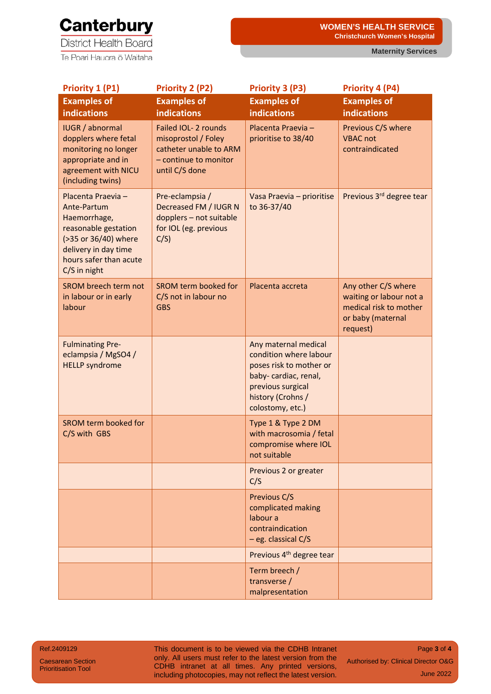### **Canterbury**

**District Health Board** Te Poari Hauora ō Waitaha

**Maternity Services**

| Priority 1 (P1)                                                                                                                                                     | Priority 2 (P2)                                                                                                  | Priority 3 (P3)                                                                                                                                                  | <b>Priority 4 (P4)</b>                                                                                    |
|---------------------------------------------------------------------------------------------------------------------------------------------------------------------|------------------------------------------------------------------------------------------------------------------|------------------------------------------------------------------------------------------------------------------------------------------------------------------|-----------------------------------------------------------------------------------------------------------|
| <b>Examples of</b><br><b>indications</b>                                                                                                                            | <b>Examples of</b><br><b>indications</b>                                                                         | <b>Examples of</b><br><b>indications</b>                                                                                                                         | <b>Examples of</b><br><b>indications</b>                                                                  |
| <b>IUGR</b> / abnormal<br>dopplers where fetal<br>monitoring no longer<br>appropriate and in<br>agreement with NICU<br>(including twins)                            | Failed IOL- 2 rounds<br>misoprostol / Foley<br>catheter unable to ARM<br>- continue to monitor<br>until C/S done | Placenta Praevia-<br>prioritise to 38/40                                                                                                                         | Previous C/S where<br><b>VBAC not</b><br>contraindicated                                                  |
| Placenta Praevia -<br>Ante-Partum<br>Haemorrhage,<br>reasonable gestation<br>(>35 or 36/40) where<br>delivery in day time<br>hours safer than acute<br>C/S in night | Pre-eclampsia /<br>Decreased FM / IUGR N<br>dopplers - not suitable<br>for IOL (eg. previous<br>C/S              | Vasa Praevia - prioritise<br>to 36-37/40                                                                                                                         | Previous 3rd degree tear                                                                                  |
| <b>SROM breech term not</b><br>in labour or in early<br>labour                                                                                                      | SROM term booked for<br>C/S not in labour no<br><b>GBS</b>                                                       | Placenta accreta                                                                                                                                                 | Any other C/S where<br>waiting or labour not a<br>medical risk to mother<br>or baby (maternal<br>request) |
| <b>Fulminating Pre-</b><br>eclampsia / MgSO4 /<br><b>HELLP</b> syndrome                                                                                             |                                                                                                                  | Any maternal medical<br>condition where labour<br>poses risk to mother or<br>baby- cardiac, renal,<br>previous surgical<br>history (Crohns /<br>colostomy, etc.) |                                                                                                           |
| SROM term booked for<br>C/S with GBS                                                                                                                                |                                                                                                                  | Type 1 & Type 2 DM<br>with macrosomia / fetal<br>compromise where IOL<br>not suitable                                                                            |                                                                                                           |
|                                                                                                                                                                     |                                                                                                                  | Previous 2 or greater<br>C/S                                                                                                                                     |                                                                                                           |
|                                                                                                                                                                     |                                                                                                                  | Previous C/S<br>complicated making<br>labour a<br>contraindication<br>$-$ eg. classical C/S                                                                      |                                                                                                           |
|                                                                                                                                                                     |                                                                                                                  | Previous 4 <sup>th</sup> degree tear                                                                                                                             |                                                                                                           |
|                                                                                                                                                                     |                                                                                                                  | Term breech /<br>transverse /<br>malpresentation                                                                                                                 |                                                                                                           |

Ref.2409129

Caesarean Section Prioritisation Tool

This document is to be viewed via the CDHB Intranet only. All users must refer to the latest version from the CDHB intranet at all times. Any printed versions, including photocopies, may not reflect the latest version.

Page **3** of **4** Authorised by: Clinical Director O&G June 2022